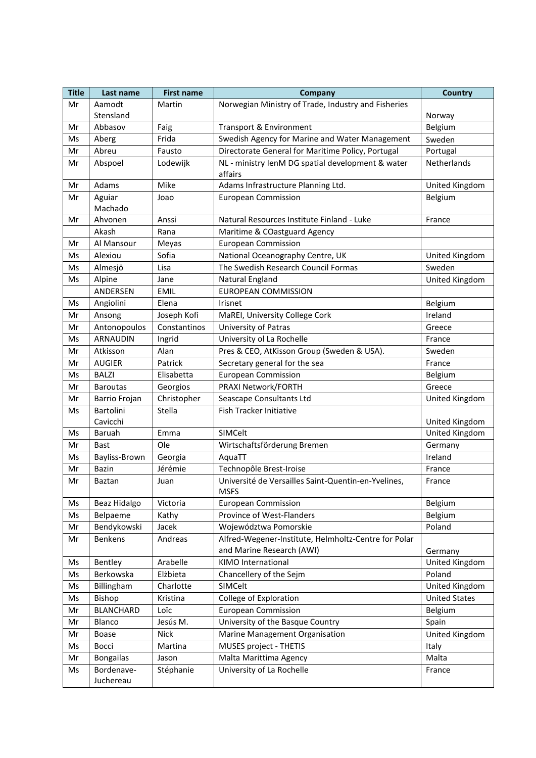| <b>Title</b> | Last name               | <b>First name</b> | Company                                                      | <b>Country</b>       |
|--------------|-------------------------|-------------------|--------------------------------------------------------------|----------------------|
| Mr           | Aamodt                  | Martin            | Norwegian Ministry of Trade, Industry and Fisheries          |                      |
|              | Stensland               |                   |                                                              | Norway               |
| Mr           | Abbasov                 | Faig              | Transport & Environment                                      | Belgium              |
| Ms           | Aberg                   | Frida             | Swedish Agency for Marine and Water Management               | Sweden               |
| Mr           | Abreu                   | Fausto            | Directorate General for Maritime Policy, Portugal            | Portugal             |
| Mr           | Abspoel                 | Lodewijk          | NL - ministry lenM DG spatial development & water<br>affairs | Netherlands          |
| Mr           | Adams                   | Mike              | Adams Infrastructure Planning Ltd.                           | United Kingdom       |
| Mr           | Aguiar                  | Joao              | <b>European Commission</b>                                   | Belgium              |
|              | Machado                 |                   |                                                              |                      |
| Mr           | Ahvonen                 | Anssi             | Natural Resources Institute Finland - Luke                   | France               |
|              | Akash                   | Rana              | Maritime & COastguard Agency                                 |                      |
| Mr           | Al Mansour              | Meyas             | <b>European Commission</b>                                   |                      |
| Ms           | Alexiou                 | Sofia             | National Oceanography Centre, UK                             | United Kingdom       |
| Ms           | Almesjö                 | Lisa              | The Swedish Research Council Formas                          | Sweden               |
| Ms           | Alpine                  | Jane              | Natural England                                              | United Kingdom       |
|              | <b>ANDERSEN</b>         | <b>EMIL</b>       | <b>EUROPEAN COMMISSION</b>                                   |                      |
| Ms           | Angiolini               | Elena             | Irisnet                                                      | Belgium              |
| Mr           | Ansong                  | Joseph Kofi       | MaREI, University College Cork                               | Ireland              |
| Mr           | Antonopoulos            | Constantinos      | University of Patras                                         | Greece               |
| Ms           | <b>ARNAUDIN</b>         | Ingrid            | University ol La Rochelle                                    | France               |
| Mr           | Atkisson                | Alan              | Pres & CEO, AtKisson Group (Sweden & USA).                   | Sweden               |
| Mr           | <b>AUGIER</b>           | Patrick           | Secretary general for the sea                                | France               |
| Ms           | <b>BALZI</b>            | Elisabetta        | <b>European Commission</b>                                   | Belgium              |
| Mr           | <b>Baroutas</b>         | Georgios          | PRAXI Network/FORTH                                          | Greece               |
| Mr           | Barrio Frojan           | Christopher       | Seascape Consultants Ltd                                     | United Kingdom       |
| Ms           | Bartolini<br>Cavicchi   | Stella            | Fish Tracker Initiative                                      | United Kingdom       |
| Ms           | Baruah                  | Emma              | SIMCelt                                                      | United Kingdom       |
| Mr           | <b>Bast</b>             | Ole               | Wirtschaftsförderung Bremen                                  | Germany              |
| Ms           | Bayliss-Brown           | Georgia           | AquaTT                                                       | Ireland              |
| Mr           | <b>Bazin</b>            | Jérémie           | Technopôle Brest-Iroise                                      | France               |
| Mr           | Baztan                  | Juan              | Université de Versailles Saint-Quentin-en-Yvelines,          | France               |
|              |                         |                   | <b>MSFS</b>                                                  |                      |
| Ms           | Beaz Hidalgo            | Victoria          | <b>European Commission</b>                                   | Belgium              |
| Ms           | Belpaeme                | Kathy             | Province of West-Flanders                                    | Belgium              |
| Mr           | Bendykowski             | Jacek             | Województwa Pomorskie                                        | Poland               |
| Mr           | Benkens                 | Andreas           | Alfred-Wegener-Institute, Helmholtz-Centre for Polar         |                      |
|              |                         |                   | and Marine Research (AWI)                                    | Germany              |
| Ms           | Bentley                 | Arabelle          | KIMO International                                           | United Kingdom       |
| Ms           | Berkowska               | Elżbieta          | Chancellery of the Sejm                                      | Poland               |
| Ms           | Billingham              | Charlotte         | SIMCelt                                                      | United Kingdom       |
| Ms           | Bishop                  | Kristina          | College of Exploration                                       | <b>United States</b> |
| Mr           | <b>BLANCHARD</b>        | Loïc              | <b>European Commission</b>                                   | Belgium              |
| Mr           | Blanco                  | Jesús M.          | University of the Basque Country                             | Spain                |
| Mr           | Boase                   | <b>Nick</b>       | Marine Management Organisation                               | United Kingdom       |
| Ms           | Bocci                   | Martina           | MUSES project - THETIS                                       | Italy                |
| Mr           | <b>Bongailas</b>        | Jason             | Malta Marittima Agency                                       | Malta                |
| Ms           | Bordenave-<br>Juchereau | Stéphanie         | University of La Rochelle                                    | France               |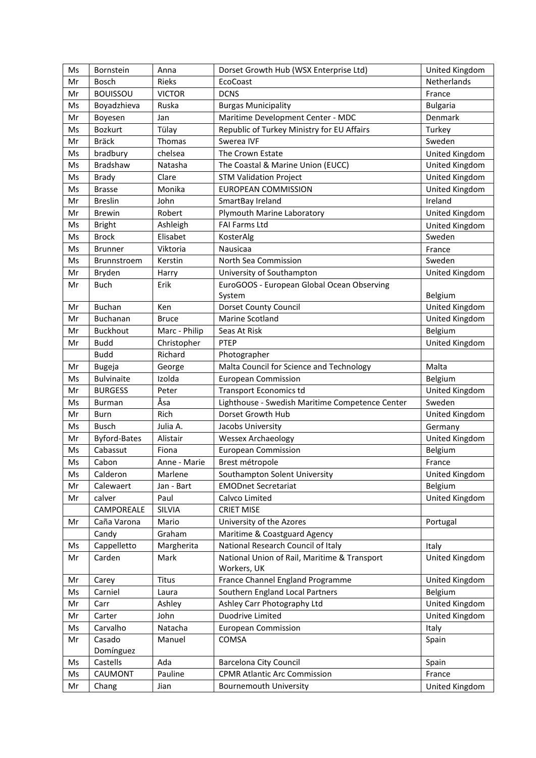| Ms | Bornstein           | Anna          | Dorset Growth Hub (WSX Enterprise Ltd)                               | United Kingdom  |
|----|---------------------|---------------|----------------------------------------------------------------------|-----------------|
| Mr | <b>Bosch</b>        | <b>Rieks</b>  | EcoCoast                                                             | Netherlands     |
| Mr | <b>BOUISSOU</b>     | <b>VICTOR</b> | <b>DCNS</b>                                                          | France          |
| Ms | Boyadzhieva         | Ruska         | <b>Burgas Municipality</b>                                           | <b>Bulgaria</b> |
| Mr | Boyesen             | Jan           | Maritime Development Center - MDC                                    | Denmark         |
| Ms | Bozkurt             | Tülay         | Republic of Turkey Ministry for EU Affairs                           | Turkey          |
| Mr | <b>Bräck</b>        | Thomas        | Swerea IVF                                                           | Sweden          |
| Ms | bradbury            | chelsea       | The Crown Estate                                                     | United Kingdom  |
| Ms | Bradshaw            | Natasha       | The Coastal & Marine Union (EUCC)                                    | United Kingdom  |
| Ms | Brady               | Clare         | <b>STM Validation Project</b>                                        | United Kingdom  |
| Ms | <b>Brasse</b>       | Monika        | <b>EUROPEAN COMMISSION</b>                                           | United Kingdom  |
| Mr | <b>Breslin</b>      | John          | SmartBay Ireland                                                     | Ireland         |
| Mr | <b>Brewin</b>       | Robert        | Plymouth Marine Laboratory                                           | United Kingdom  |
| Ms | <b>Bright</b>       | Ashleigh      | <b>FAI Farms Ltd</b>                                                 | United Kingdom  |
| Ms | <b>Brock</b>        | Elisabet      | KosterAlg                                                            | Sweden          |
| Ms | <b>Brunner</b>      | Viktoria      | Nausicaa                                                             | France          |
| Ms | Brunnstroem         | Kerstin       | North Sea Commission                                                 | Sweden          |
| Mr | Bryden              | Harry         | University of Southampton                                            | United Kingdom  |
| Mr | <b>Buch</b>         | Erik          | EuroGOOS - European Global Ocean Observing                           |                 |
|    |                     |               | System                                                               | Belgium         |
| Mr | <b>Buchan</b>       | Ken           | Dorset County Council                                                | United Kingdom  |
| Mr | <b>Buchanan</b>     | <b>Bruce</b>  | Marine Scotland                                                      | United Kingdom  |
| Mr | <b>Buckhout</b>     | Marc - Philip | Seas At Risk                                                         | Belgium         |
|    | <b>Budd</b>         |               | PTEP                                                                 |                 |
| Mr |                     | Christopher   |                                                                      | United Kingdom  |
|    | <b>Budd</b>         | Richard       | Photographer                                                         |                 |
| Mr | <b>Bugeja</b>       | George        | Malta Council for Science and Technology                             | Malta           |
| Ms | <b>Bulvinaite</b>   | Izolda        | <b>European Commission</b>                                           | Belgium         |
| Mr | <b>BURGESS</b>      | Peter         | <b>Transport Economics td</b>                                        | United Kingdom  |
| Ms | Burman              | Åsa           | Lighthouse - Swedish Maritime Competence Center<br>Dorset Growth Hub | Sweden          |
| Mr | <b>Burn</b>         | Rich          |                                                                      | United Kingdom  |
| Ms | <b>Busch</b>        | Julia A.      | Jacobs University                                                    | Germany         |
| Mr | <b>Byford-Bates</b> | Alistair      | <b>Wessex Archaeology</b>                                            | United Kingdom  |
| Ms | Cabassut            | Fiona         | <b>European Commission</b>                                           | Belgium         |
| Ms | Cabon               | Anne - Marie  | Brest métropole                                                      | France          |
| Ms | Calderon            | Marlene       | Southampton Solent University                                        | United Kingdom  |
| Mr | Calewaert           | Jan - Bart    | <b>EMODnet Secretariat</b>                                           | Belgium         |
| Mr | calver              | Paul          | Calvco Limited                                                       | United Kingdom  |
|    | CAMPOREALE          | SILVIA        | <b>CRIET MISE</b>                                                    |                 |
| Mr | Caña Varona         | Mario         | University of the Azores                                             | Portugal        |
|    | Candy               | Graham        | Maritime & Coastguard Agency                                         |                 |
| Ms | Cappelletto         | Margherita    | National Research Council of Italy                                   | Italy           |
| Mr | Carden              | Mark          | National Union of Rail, Maritime & Transport                         | United Kingdom  |
|    |                     |               | Workers, UK                                                          |                 |
| Mr | Carey               | Titus         | France Channel England Programme                                     | United Kingdom  |
| Ms | Carniel             | Laura         | Southern England Local Partners                                      | Belgium         |
| Mr | Carr                | Ashley        | Ashley Carr Photography Ltd                                          | United Kingdom  |
| Mr | Carter              | John          | Duodrive Limited                                                     | United Kingdom  |
| Ms | Carvalho            | Natacha       | <b>European Commission</b>                                           | Italy           |
| Mr | Casado              | Manuel        | COMSA                                                                | Spain           |
|    | Domínguez           |               |                                                                      |                 |
| Ms | Castells            | Ada           | <b>Barcelona City Council</b>                                        | Spain           |
| Ms | CAUMONT             | Pauline       | <b>CPMR Atlantic Arc Commission</b>                                  | France          |
| Mr | Chang               | Jian          | <b>Bournemouth University</b>                                        | United Kingdom  |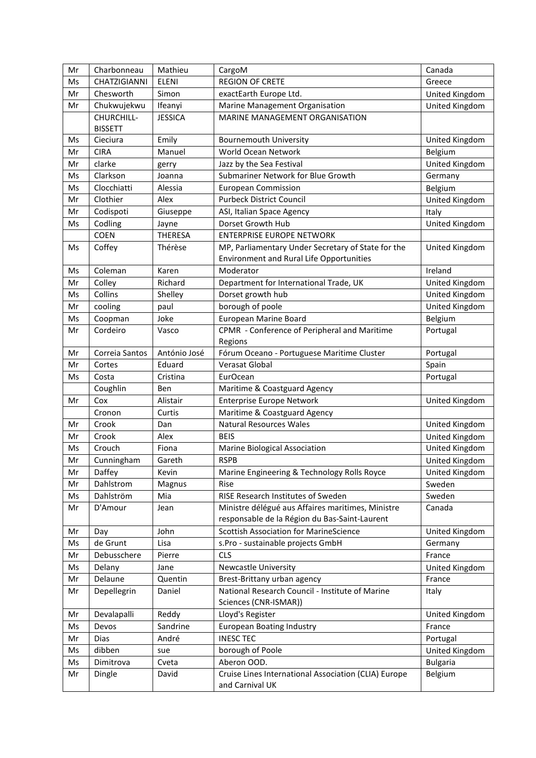| Mr | Charbonneau         | Mathieu        | CargoM                                               | Canada          |
|----|---------------------|----------------|------------------------------------------------------|-----------------|
| Ms | <b>CHATZIGIANNI</b> | <b>ELENI</b>   | <b>REGION OF CRETE</b>                               | Greece          |
| Mr | Chesworth           | Simon          | exactEarth Europe Ltd.                               | United Kingdom  |
| Mr | Chukwujekwu         | Ifeanyi        | Marine Management Organisation                       | United Kingdom  |
|    | CHURCHILL-          | <b>JESSICA</b> | MARINE MANAGEMENT ORGANISATION                       |                 |
|    | <b>BISSETT</b>      |                |                                                      |                 |
| Ms | Cieciura            | Emily          | <b>Bournemouth University</b>                        | United Kingdom  |
| Mr | <b>CIRA</b>         | Manuel         | World Ocean Network                                  | Belgium         |
| Mr | clarke              | gerry          | Jazz by the Sea Festival                             | United Kingdom  |
| Ms | Clarkson            | Joanna         | Submariner Network for Blue Growth                   | Germany         |
| Ms | Clocchiatti         | Alessia        | <b>European Commission</b>                           | Belgium         |
| Mr | Clothier            | Alex           | <b>Purbeck District Council</b>                      | United Kingdom  |
| Mr | Codispoti           | Giuseppe       | ASI, Italian Space Agency                            | Italy           |
| Ms | Codling             | Jayne          | Dorset Growth Hub                                    | United Kingdom  |
|    | <b>COEN</b>         | <b>THERESA</b> | <b>ENTERPRISE EUROPE NETWORK</b>                     |                 |
| Ms | Coffey              | Thérèse        | MP, Parliamentary Under Secretary of State for the   | United Kingdom  |
|    |                     |                | <b>Environment and Rural Life Opportunities</b>      |                 |
| Ms | Coleman             | Karen          | Moderator                                            | Ireland         |
| Mr | Colley              | Richard        | Department for International Trade, UK               | United Kingdom  |
| Ms | Collins             | Shelley        | Dorset growth hub                                    | United Kingdom  |
| Mr | cooling             | paul           | borough of poole                                     | United Kingdom  |
| Ms | Coopman             | Joke           | European Marine Board                                | Belgium         |
| Mr | Cordeiro            | Vasco          | CPMR - Conference of Peripheral and Maritime         | Portugal        |
|    |                     |                | Regions                                              |                 |
| Mr | Correia Santos      | António José   | Fórum Oceano - Portuguese Maritime Cluster           | Portugal        |
| Mr | Cortes              | Eduard         | Verasat Global                                       | Spain           |
| Ms | Costa               | Cristina       | <b>EurOcean</b>                                      | Portugal        |
|    | Coughlin            | Ben            | Maritime & Coastguard Agency                         |                 |
| Mr | Cox                 | Alistair       | <b>Enterprise Europe Network</b>                     | United Kingdom  |
|    | Cronon              | Curtis         | Maritime & Coastguard Agency                         |                 |
| Mr | Crook               | Dan            | <b>Natural Resources Wales</b>                       | United Kingdom  |
| Mr | Crook               | Alex           | <b>BEIS</b>                                          | United Kingdom  |
| Ms | Crouch              | Fiona          | Marine Biological Association                        | United Kingdom  |
| Mr | Cunningham          | Gareth         | <b>RSPB</b>                                          | United Kingdom  |
| Mr | Daffey              | Kevin          | Marine Engineering & Technology Rolls Royce          | United Kingdom  |
| Mr | Dahlstrom           | Magnus         | Rise                                                 | Sweden          |
| Ms | Dahlström           | Mia            | RISE Research Institutes of Sweden                   | Sweden          |
| Mr | D'Amour             | Jean           | Ministre délégué aus Affaires maritimes, Ministre    | Canada          |
|    |                     |                | responsable de la Région du Bas-Saint-Laurent        |                 |
| Mr | Day                 | John           | <b>Scottish Association for MarineScience</b>        | United Kingdom  |
| Ms | de Grunt            | Lisa           | s.Pro - sustainable projects GmbH                    | Germany         |
| Mr | Debusschere         | Pierre         | <b>CLS</b>                                           | France          |
| Ms | Delany              | Jane           | Newcastle University                                 | United Kingdom  |
| Mr | Delaune             | Quentin        | Brest-Brittany urban agency                          | France          |
| Mr | Depellegrin         | Daniel         | National Research Council - Institute of Marine      | Italy           |
|    |                     |                | Sciences (CNR-ISMAR))                                |                 |
| Mr | Devalapalli         | Reddy          | Lloyd's Register                                     | United Kingdom  |
| Ms | Devos               | Sandrine       | <b>European Boating Industry</b>                     | France          |
| Mr | Dias                | André          | <b>INESC TEC</b>                                     | Portugal        |
| Ms | dibben              | sue            | borough of Poole                                     | United Kingdom  |
| Ms | Dimitrova           | Cveta          | Aberon OOD.                                          | <b>Bulgaria</b> |
| Mr | Dingle              | David          | Cruise Lines International Association (CLIA) Europe | Belgium         |
|    |                     |                | and Carnival UK                                      |                 |
|    |                     |                |                                                      |                 |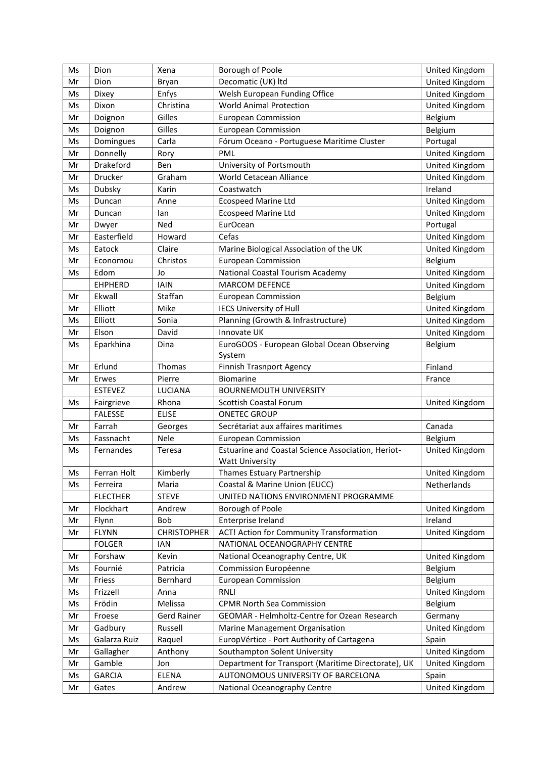| Ms | Dion            | Xena               | Borough of Poole                                    | United Kingdom |
|----|-----------------|--------------------|-----------------------------------------------------|----------------|
| Mr | Dion            | Bryan              | Decomatic (UK) ltd                                  | United Kingdom |
| Ms | Dixey           | Enfys              | Welsh European Funding Office                       | United Kingdom |
| Ms | Dixon           | Christina          | <b>World Animal Protection</b>                      | United Kingdom |
| Mr | Doignon         | Gilles             | <b>European Commission</b>                          | Belgium        |
| Ms | Doignon         | Gilles             | <b>European Commission</b>                          | Belgium        |
| Ms | Domingues       | Carla              | Fórum Oceano - Portuguese Maritime Cluster          | Portugal       |
| Mr | Donnelly        | Rory               | PML                                                 | United Kingdom |
| Mr | Drakeford       | Ben                | University of Portsmouth                            | United Kingdom |
| Mr | Drucker         | Graham             | World Cetacean Alliance                             | United Kingdom |
| Ms | Dubsky          | Karin              | Coastwatch                                          | Ireland        |
| Ms | Duncan          | Anne               | <b>Ecospeed Marine Ltd</b>                          | United Kingdom |
| Mr | Duncan          | lan                | <b>Ecospeed Marine Ltd</b>                          | United Kingdom |
| Mr | Dwyer           | Ned                | EurOcean                                            | Portugal       |
| Mr | Easterfield     | Howard             | Cefas                                               | United Kingdom |
| Ms | Eatock          | Claire             | Marine Biological Association of the UK             | United Kingdom |
| Mr | Economou        | Christos           | <b>European Commission</b>                          | Belgium        |
| Ms | Edom            | Jo                 | National Coastal Tourism Academy                    | United Kingdom |
|    | <b>EHPHERD</b>  | <b>IAIN</b>        | <b>MARCOM DEFENCE</b>                               | United Kingdom |
| Mr | Ekwall          | Staffan            | <b>European Commission</b>                          | Belgium        |
| Mr | Elliott         | Mike               | <b>IECS University of Hull</b>                      | United Kingdom |
| Ms | Elliott         | Sonia              | Planning (Growth & Infrastructure)                  | United Kingdom |
| Mr | Elson           | David              | Innovate UK                                         | United Kingdom |
| Ms | Eparkhina       | Dina               | EuroGOOS - European Global Ocean Observing          | Belgium        |
|    |                 |                    | System                                              |                |
| Mr | Erlund          | Thomas             | <b>Finnish Trasnport Agency</b>                     | Finland        |
| Mr | Erwes           | Pierre             | Biomarine                                           | France         |
|    | <b>ESTEVEZ</b>  | <b>LUCIANA</b>     | <b>BOURNEMOUTH UNIVERSITY</b>                       |                |
| Ms | Fairgrieve      | Rhona              | Scottish Coastal Forum                              | United Kingdom |
|    | <b>FALESSE</b>  | <b>ELISE</b>       | <b>ONETEC GROUP</b>                                 |                |
| Mr | Farrah          | Georges            | Secrétariat aux affaires maritimes                  | Canada         |
| Ms | Fassnacht       | Nele               | <b>European Commission</b>                          | Belgium        |
| Ms | Fernandes       | Teresa             | Estuarine and Coastal Science Association, Heriot-  | United Kingdom |
|    |                 |                    | Watt University                                     |                |
| Ms | Ferran Holt     | Kimberly           | Thames Estuary Partnership                          | United Kingdom |
| Ms | Ferreira        | Maria              | Coastal & Marine Union (EUCC)                       | Netherlands    |
|    | <b>FLECTHER</b> | <b>STEVE</b>       | UNITED NATIONS ENVIRONMENT PROGRAMME                |                |
| Mr | Flockhart       | Andrew             | Borough of Poole                                    | United Kingdom |
| Mr | Flynn           | Bob                | Enterprise Ireland                                  | Ireland        |
| Mr | <b>FLYNN</b>    | <b>CHRISTOPHER</b> | ACT! Action for Community Transformation            | United Kingdom |
|    | <b>FOLGER</b>   | IAN                | NATIONAL OCEANOGRAPHY CENTRE                        |                |
| Mr | Forshaw         | Kevin              | National Oceanography Centre, UK                    | United Kingdom |
| Ms | Fournié         | Patricia           | Commission Européenne                               | Belgium        |
| Mr | Friess          | Bernhard           | <b>European Commission</b>                          | Belgium        |
| Ms | Frizzell        | Anna               | RNLI                                                | United Kingdom |
| Ms | Frödin          | Melissa            | <b>CPMR North Sea Commission</b>                    | Belgium        |
| Mr | Froese          | <b>Gerd Rainer</b> | GEOMAR - Helmholtz-Centre for Ozean Research        | Germany        |
| Mr | Gadbury         | Russell            | Marine Management Organisation                      | United Kingdom |
| Ms | Galarza Ruiz    | Raquel             | EuropVértice - Port Authority of Cartagena          | Spain          |
| Mr | Gallagher       | Anthony            | Southampton Solent University                       | United Kingdom |
| Mr | Gamble          | Jon                | Department for Transport (Maritime Directorate), UK | United Kingdom |
| Ms | <b>GARCIA</b>   | ELENA              | AUTONOMOUS UNIVERSITY OF BARCELONA                  | Spain          |
| Mr | Gates           | Andrew             | National Oceanography Centre                        | United Kingdom |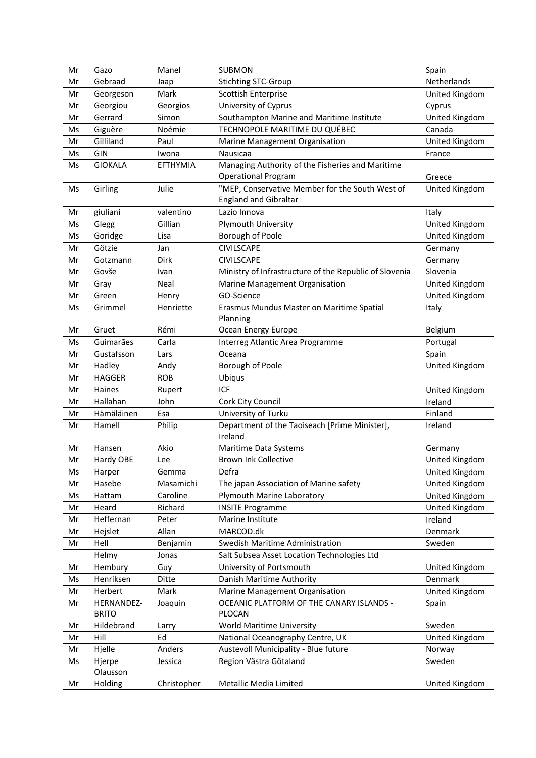| Mr | Gazo                       | Manel           | <b>SUBMON</b>                                            | Spain          |
|----|----------------------------|-----------------|----------------------------------------------------------|----------------|
| Mr | Gebraad                    | Jaap            | <b>Stichting STC-Group</b>                               | Netherlands    |
| Mr | Georgeson                  | Mark            | Scottish Enterprise                                      | United Kingdom |
| Mr | Georgiou                   | Georgios        | University of Cyprus                                     | Cyprus         |
| Mr | Gerrard                    | Simon           | Southampton Marine and Maritime Institute                | United Kingdom |
| Ms | Giguère                    | Noémie          | TECHNOPOLE MARITIME DU QUÉBEC                            | Canada         |
| Mr | Gilliland                  | Paul            | Marine Management Organisation                           | United Kingdom |
| Ms | GIN                        | Iwona           | Nausicaa                                                 | France         |
| Ms | <b>GIOKALA</b>             | <b>EFTHYMIA</b> | Managing Authority of the Fisheries and Maritime         |                |
|    |                            |                 | <b>Operational Program</b>                               | Greece         |
| Ms | Girling                    | Julie           | "MEP, Conservative Member for the South West of          | United Kingdom |
|    |                            |                 | <b>England and Gibraltar</b>                             |                |
| Mr | giuliani                   | valentino       | Lazio Innova                                             | Italy          |
| Ms | Glegg                      | Gillian         | Plymouth University                                      | United Kingdom |
| Ms | Goridge                    | Lisa            | Borough of Poole                                         | United Kingdom |
| Mr | Götzie                     | Jan             | <b>CIVILSCAPE</b>                                        | Germany        |
| Mr | Gotzmann                   | Dirk            | <b>CIVILSCAPE</b>                                        | Germany        |
| Mr | Govše                      | Ivan            | Ministry of Infrastructure of the Republic of Slovenia   | Slovenia       |
| Mr | Gray                       | Neal            | Marine Management Organisation                           | United Kingdom |
| Mr | Green                      | Henry           | GO-Science                                               | United Kingdom |
| Ms | Grimmel                    | Henriette       | Erasmus Mundus Master on Maritime Spatial<br>Planning    | Italy          |
| Mr | Gruet                      | Rémi            | Ocean Energy Europe                                      | Belgium        |
| Ms | Guimarães                  | Carla           | Interreg Atlantic Area Programme                         | Portugal       |
| Mr | Gustafsson                 | Lars            | Oceana                                                   | Spain          |
| Mr | Hadley                     | Andy            | Borough of Poole                                         | United Kingdom |
| Mr | <b>HAGGER</b>              | <b>ROB</b>      | Ubiqus                                                   |                |
| Mr | Haines                     | Rupert          | ICF                                                      | United Kingdom |
| Mr | Hallahan                   | John            | Cork City Council                                        | Ireland        |
| Mr | Hämäläinen                 | Esa             | University of Turku                                      | Finland        |
| Mr | Hamell                     | Philip          | Department of the Taoiseach [Prime Minister],<br>Ireland | Ireland        |
| Mr | Hansen                     | Akio            | Maritime Data Systems                                    | Germany        |
| Mr | Hardy OBE                  | Lee             | <b>Brown Ink Collective</b>                              | United Kingdom |
| Ms | Harper                     | Gemma           | Defra                                                    | United Kingdom |
| Mr | Hasebe                     | Masamichi       | The japan Association of Marine safety                   | United Kingdom |
| Ms | Hattam                     | Caroline        | Plymouth Marine Laboratory                               | United Kingdom |
| Mr | Heard                      | Richard         | <b>INSITE Programme</b>                                  | United Kingdom |
| Mr | Heffernan                  | Peter           | Marine Institute                                         | Ireland        |
| Mr | Hejslet                    | Allan           | MARCOD.dk                                                | Denmark        |
| Mr | Hell                       | Benjamin        | Swedish Maritime Administration                          | Sweden         |
|    | Helmy                      | Jonas           | Salt Subsea Asset Location Technologies Ltd              |                |
| Mr | Hembury                    | Guy             | University of Portsmouth                                 | United Kingdom |
| Ms | Henriksen                  | Ditte           | Danish Maritime Authority                                | Denmark        |
| Mr | Herbert                    | Mark            | Marine Management Organisation                           | United Kingdom |
| Mr | HERNANDEZ-<br><b>BRITO</b> | Joaquin         | OCEANIC PLATFORM OF THE CANARY ISLANDS -<br>PLOCAN       | Spain          |
| Mr | Hildebrand                 | Larry           | World Maritime University                                | Sweden         |
| Mr | Hill                       | Ed              | National Oceanography Centre, UK                         | United Kingdom |
| Mr | Hjelle                     | Anders          | Austevoll Municipality - Blue future                     | Norway         |
| Ms | Hjerpe<br>Olausson         | Jessica         | Region Västra Götaland                                   | Sweden         |
| Mr | Holding                    | Christopher     | Metallic Media Limited                                   | United Kingdom |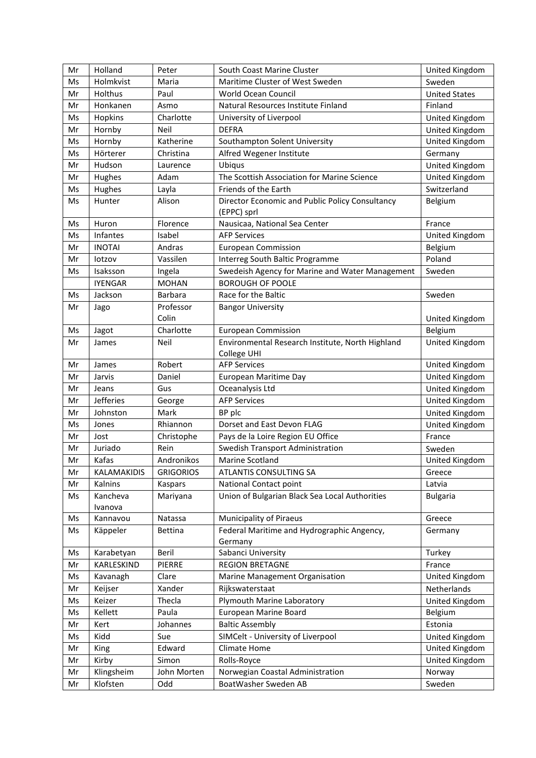| Mr | Holland             | Peter            | South Coast Marine Cluster                                      | United Kingdom       |
|----|---------------------|------------------|-----------------------------------------------------------------|----------------------|
| Ms | Holmkvist           | Maria            | Maritime Cluster of West Sweden                                 | Sweden               |
| Mr | <b>Holthus</b>      | Paul             | World Ocean Council                                             | <b>United States</b> |
| Mr | Honkanen            | Asmo             | Natural Resources Institute Finland                             | Finland              |
| Ms | Hopkins             | Charlotte        | University of Liverpool                                         | United Kingdom       |
| Mr | Hornby              | <b>Neil</b>      | <b>DEFRA</b>                                                    | United Kingdom       |
| Ms | Hornby              | Katherine        | Southampton Solent University                                   | United Kingdom       |
| Ms | Hörterer            | Christina        | Alfred Wegener Institute                                        | Germany              |
| Mr | Hudson              | Laurence         | Ubiqus                                                          | United Kingdom       |
| Mr | Hughes              | Adam             | The Scottish Association for Marine Science                     | United Kingdom       |
| Ms | Hughes              | Layla            | Friends of the Earth                                            | Switzerland          |
| Ms | Hunter              | Alison           | Director Economic and Public Policy Consultancy<br>(EPPC) sprl  | Belgium              |
| Ms | Huron               | Florence         | Nausicaa, National Sea Center                                   | France               |
| Ms | Infantes            | Isabel           | <b>AFP Services</b>                                             | United Kingdom       |
| Mr | <b>INOTAI</b>       | Andras           | <b>European Commission</b>                                      | Belgium              |
| Mr | lotzov              | Vassilen         | Interreg South Baltic Programme                                 | Poland               |
| Ms | Isaksson            | Ingela           | Swedeish Agency for Marine and Water Management                 | Sweden               |
|    | <b>IYENGAR</b>      | <b>MOHAN</b>     | <b>BOROUGH OF POOLE</b>                                         |                      |
| Ms | Jackson             | <b>Barbara</b>   | Race for the Baltic                                             | Sweden               |
| Mr | Jago                | Professor        | <b>Bangor University</b>                                        |                      |
|    |                     | Colin            |                                                                 | United Kingdom       |
| Ms | Jagot               | Charlotte        | <b>European Commission</b>                                      | Belgium              |
| Mr | James               | Neil             | Environmental Research Institute, North Highland<br>College UHI | United Kingdom       |
| Mr | James               | Robert           | <b>AFP Services</b>                                             | United Kingdom       |
| Mr | Jarvis              | Daniel           | European Maritime Day                                           | United Kingdom       |
| Mr | Jeans               | Gus              | Oceanalysis Ltd                                                 | United Kingdom       |
| Mr | <b>Jefferies</b>    | George           | <b>AFP Services</b>                                             | United Kingdom       |
| Mr | Johnston            | Mark             | BP plc                                                          | United Kingdom       |
| Ms | Jones               | Rhiannon         | Dorset and East Devon FLAG                                      | United Kingdom       |
| Mr | Jost                | Christophe       | Pays de la Loire Region EU Office                               | France               |
| Mr | Juriado             | Rein             | <b>Swedish Transport Administration</b>                         | Sweden               |
| Mr | Kafas               | Andronikos       | Marine Scotland                                                 | United Kingdom       |
| Mr | <b>KALAMAKIDIS</b>  | <b>GRIGORIOS</b> | ATLANTIS CONSULTING SA                                          | Greece               |
| Mr | Kalnins             | Kaspars          | National Contact point                                          | Latvia               |
| Ms | Kancheva<br>Ivanova | Mariyana         | Union of Bulgarian Black Sea Local Authorities                  | <b>Bulgaria</b>      |
| Ms | Kannavou            | Natassa          | <b>Municipality of Piraeus</b>                                  | Greece               |
| Ms | Käppeler            | <b>Bettina</b>   | Federal Maritime and Hydrographic Angency,<br>Germany           | Germany              |
| Ms | Karabetyan          | Beril            | Sabanci University                                              | Turkey               |
| Mr | KARLESKIND          | <b>PIERRE</b>    | <b>REGION BRETAGNE</b>                                          | France               |
| Ms | Kavanagh            | Clare            | Marine Management Organisation                                  | United Kingdom       |
| Mr | Keijser             | Xander           | Rijkswaterstaat                                                 | Netherlands          |
| Ms | Keizer              | Thecla           | Plymouth Marine Laboratory                                      | United Kingdom       |
| Ms | Kellett             | Paula            | European Marine Board                                           | Belgium              |
| Mr | Kert                | Johannes         | <b>Baltic Assembly</b>                                          | Estonia              |
| Ms | Kidd                | Sue              | SIMCelt - University of Liverpool                               | United Kingdom       |
| Mr | King                | Edward           | Climate Home                                                    | United Kingdom       |
| Mr | Kirby               | Simon            | Rolls-Royce                                                     | United Kingdom       |
| Mr | Klingsheim          | John Morten      | Norwegian Coastal Administration                                | Norway               |
| Mr | Klofsten            | Odd              | BoatWasher Sweden AB                                            | Sweden               |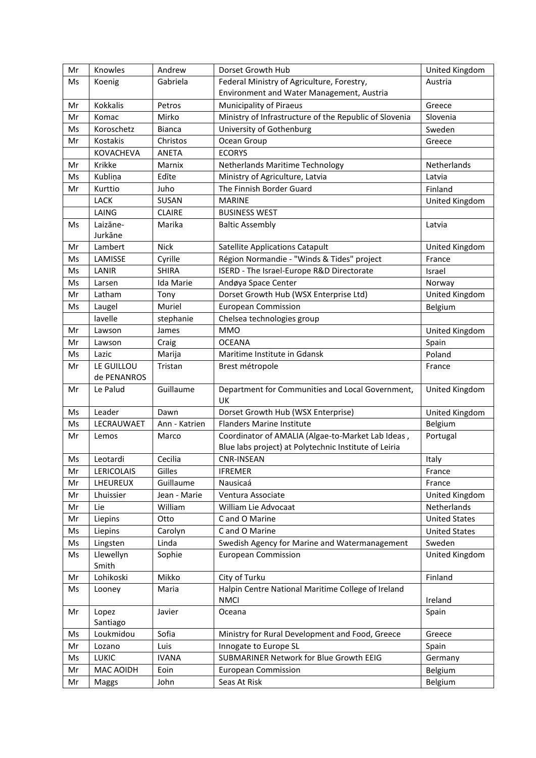| Mr | Knowles            | Andrew        | Dorset Growth Hub                                                                                          | United Kingdom       |
|----|--------------------|---------------|------------------------------------------------------------------------------------------------------------|----------------------|
| Ms | Koenig             | Gabriela      | Federal Ministry of Agriculture, Forestry,                                                                 | Austria              |
|    |                    |               | Environment and Water Management, Austria                                                                  |                      |
| Mr | Kokkalis           | Petros        | <b>Municipality of Piraeus</b>                                                                             | Greece               |
| Mr | Komac              | Mirko         | Ministry of Infrastructure of the Republic of Slovenia                                                     | Slovenia             |
| Ms | Koroschetz         | <b>Bianca</b> | University of Gothenburg                                                                                   | Sweden               |
| Mr | Kostakis           | Christos      | Ocean Group                                                                                                | Greece               |
|    | <b>KOVACHEVA</b>   | <b>ANETA</b>  | <b>ECORYS</b>                                                                                              |                      |
| Mr | Krikke             | Marnix        | Netherlands Maritime Technology                                                                            | Netherlands          |
| Ms | Kublina            | Edite         | Ministry of Agriculture, Latvia                                                                            | Latvia               |
| Mr | Kurttio            | Juho          | The Finnish Border Guard                                                                                   | Finland              |
|    | LACK               | SUSAN         | <b>MARINE</b>                                                                                              | United Kingdom       |
|    | LAING              | <b>CLAIRE</b> | <b>BUSINESS WEST</b>                                                                                       |                      |
| Ms | Laizāne-           | Marika        | <b>Baltic Assembly</b>                                                                                     | Latvia               |
|    | Jurkāne            |               |                                                                                                            |                      |
| Mr | Lambert            | <b>Nick</b>   | <b>Satellite Applications Catapult</b>                                                                     | United Kingdom       |
| Ms | LAMISSE            | Cyrille       | Région Normandie - "Winds & Tides" project                                                                 | France               |
| Ms | LANIR              | <b>SHIRA</b>  | ISERD - The Israel-Europe R&D Directorate                                                                  | Israel               |
| Ms | Larsen             | Ida Marie     | Andøya Space Center                                                                                        | Norway               |
| Mr | Latham             | Tony          | Dorset Growth Hub (WSX Enterprise Ltd)                                                                     | United Kingdom       |
| Ms | Laugel             | Muriel        | <b>European Commission</b>                                                                                 | Belgium              |
|    | lavelle            | stephanie     | Chelsea technologies group                                                                                 |                      |
| Mr | Lawson             | James         | <b>MMO</b>                                                                                                 | United Kingdom       |
| Mr | Lawson             | Craig         | <b>OCEANA</b>                                                                                              | Spain                |
| Ms | Lazic              | Marija        | Maritime Institute in Gdansk                                                                               | Poland               |
| Mr | LE GUILLOU         | Tristan       | Brest métropole                                                                                            | France               |
|    | de PENANROS        |               |                                                                                                            |                      |
| Mr | Le Palud           | Guillaume     | Department for Communities and Local Government,<br>UK                                                     | United Kingdom       |
| Ms | Leader             | Dawn          | Dorset Growth Hub (WSX Enterprise)                                                                         | United Kingdom       |
| Ms | LECRAUWAET         | Ann - Katrien | <b>Flanders Marine Institute</b>                                                                           | Belgium              |
| Mr | Lemos              | Marco         | Coordinator of AMALIA (Algae-to-Market Lab Ideas,<br>Blue labs project) at Polytechnic Institute of Leiria | Portugal             |
| Ms | Leotardi           | Cecilia       | <b>CNR-INSEAN</b>                                                                                          | Italy                |
| Mr | LERICOLAIS         | Gilles        | <b>IFREMER</b>                                                                                             | France               |
| Mr | LHEUREUX           | Guillaume     | Nausicaá                                                                                                   | France               |
| Mr | Lhuissier          | Jean - Marie  | Ventura Associate                                                                                          | United Kingdom       |
| Mr | Lie                | William       | William Lie Advocaat                                                                                       | Netherlands          |
| Mr | Liepins            | Otto          | C and O Marine                                                                                             | <b>United States</b> |
| Ms | Liepins            | Carolyn       | C and O Marine                                                                                             | <b>United States</b> |
| Ms | Lingsten           | Linda         | Swedish Agency for Marine and Watermanagement                                                              | Sweden               |
| Ms | Llewellyn<br>Smith | Sophie        | <b>European Commission</b>                                                                                 | United Kingdom       |
| Mr | Lohikoski          | Mikko         | City of Turku                                                                                              | Finland              |
| Ms | Looney             | Maria         | Halpin Centre National Maritime College of Ireland<br><b>NMCI</b>                                          | Ireland              |
| Mr | Lopez<br>Santiago  | Javier        | Oceana                                                                                                     | Spain                |
| Ms | Loukmidou          | Sofia         | Ministry for Rural Development and Food, Greece                                                            | Greece               |
| Mr | Lozano             | Luis          | Innogate to Europe SL                                                                                      | Spain                |
| Ms | LUKIC              | <b>IVANA</b>  | SUBMARINER Network for Blue Growth EEIG                                                                    | Germany              |
| Mr | MAC AOIDH          | Eoin          | <b>European Commission</b>                                                                                 | Belgium              |
| Mr | Maggs              | John          | Seas At Risk                                                                                               | Belgium              |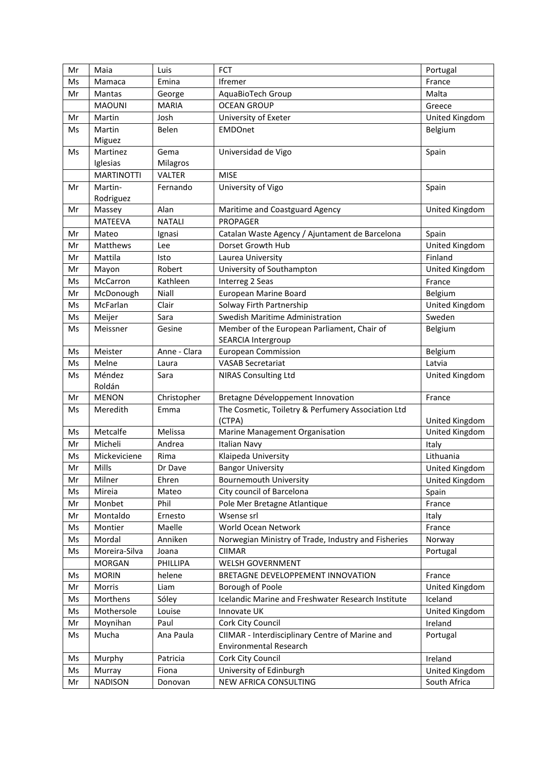| Mr | Maia              | Luis          | <b>FCT</b>                                          | Portugal       |
|----|-------------------|---------------|-----------------------------------------------------|----------------|
| Ms | Mamaca            | Emina         | <b>Ifremer</b>                                      | France         |
| Mr | <b>Mantas</b>     | George        | AquaBioTech Group                                   | Malta          |
|    | <b>MAOUNI</b>     | <b>MARIA</b>  | <b>OCEAN GROUP</b>                                  | Greece         |
| Mr | Martin            | Josh          | University of Exeter                                | United Kingdom |
| Ms | Martin            | Belen         | <b>EMDOnet</b>                                      | Belgium        |
|    | Miguez            |               |                                                     |                |
| Ms | Martinez          | Gema          | Universidad de Vigo                                 | Spain          |
|    | Iglesias          | Milagros      |                                                     |                |
|    | <b>MARTINOTTI</b> | <b>VALTER</b> | <b>MISE</b>                                         |                |
| Mr | Martin-           | Fernando      | University of Vigo                                  | Spain          |
|    | Rodriguez         |               |                                                     |                |
| Mr | Massey            | Alan          | Maritime and Coastguard Agency                      | United Kingdom |
|    | <b>MATEEVA</b>    | <b>NATALI</b> | PROPAGER                                            |                |
| Mr | Mateo             | Ignasi        | Catalan Waste Agency / Ajuntament de Barcelona      | Spain          |
| Mr | Matthews          | Lee           | Dorset Growth Hub                                   | United Kingdom |
| Mr | Mattila           | Isto          | Laurea University                                   | Finland        |
| Mr | Mayon             | Robert        | University of Southampton                           | United Kingdom |
| Ms | McCarron          | Kathleen      | Interreg 2 Seas                                     | France         |
| Mr | McDonough         | Niall         | European Marine Board                               | Belgium        |
| Ms | McFarlan          | Clair         | Solway Firth Partnership                            | United Kingdom |
| Ms | Meijer            | Sara          | Swedish Maritime Administration                     | Sweden         |
| Ms | Meissner          | Gesine        | Member of the European Parliament, Chair of         | Belgium        |
|    |                   |               | SEARCIA Intergroup                                  |                |
| Ms | Meister           | Anne - Clara  | <b>European Commission</b>                          | Belgium        |
| Ms | Melne             | Laura         | <b>VASAB Secretariat</b>                            | Latvia         |
| Ms | Méndez            | Sara          | NIRAS Consulting Ltd                                | United Kingdom |
|    | Roldán            |               |                                                     |                |
| Mr | <b>MENON</b>      | Christopher   | Bretagne Développement Innovation                   | France         |
| Ms | Meredith          | Emma          | The Cosmetic, Toiletry & Perfumery Association Ltd  |                |
|    |                   |               | (CTPA)                                              | United Kingdom |
| Ms | Metcalfe          | Melissa       | Marine Management Organisation                      | United Kingdom |
| Mr | Micheli           | Andrea        | <b>Italian Navy</b>                                 | Italy          |
| Ms | Mickeviciene      | Rima          | Klaipeda University                                 | Lithuania      |
| Mr | Mills             | Dr Dave       | <b>Bangor University</b>                            | United Kingdom |
| Mr | Milner            | Ehren         | <b>Bournemouth University</b>                       | United Kingdom |
| Ms | Mireia            | Mateo         | City council of Barcelona                           | Spain          |
| Mr | Monbet            | Phil          | Pole Mer Bretagne Atlantique                        | France         |
| Mr | Montaldo          | Ernesto       | Wsense srl                                          | Italy          |
| Ms | Montier           | Maelle        | World Ocean Network                                 | France         |
| Ms | Mordal            | Anniken       | Norwegian Ministry of Trade, Industry and Fisheries | Norway         |
| Ms | Moreira-Silva     | Joana         | <b>CIIMAR</b>                                       | Portugal       |
|    | <b>MORGAN</b>     | PHILLIPA      | WELSH GOVERNMENT                                    |                |
| Ms | <b>MORIN</b>      | helene        | BRETAGNE DEVELOPPEMENT INNOVATION                   | France         |
| Mr | Morris            | Liam          | Borough of Poole                                    | United Kingdom |
| Ms | Morthens          | Sóley         | Icelandic Marine and Freshwater Research Institute  | Iceland        |
| Ms | Mothersole        | Louise        | Innovate UK                                         | United Kingdom |
| Mr | Moynihan          | Paul          | Cork City Council                                   | Ireland        |
| Ms | Mucha             | Ana Paula     | CIIMAR - Interdisciplinary Centre of Marine and     | Portugal       |
|    |                   |               | Environmental Research                              |                |
| Ms | Murphy            | Patricia      | Cork City Council                                   | Ireland        |
| Ms | Murray            | Fiona         | University of Edinburgh                             | United Kingdom |
| Mr |                   |               | NEW AFRICA CONSULTING                               | South Africa   |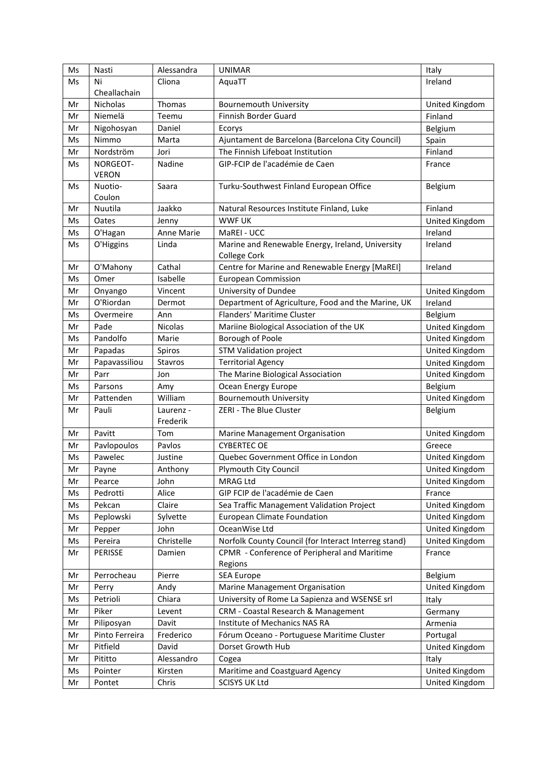| Ms | Nasti          | Alessandra     | <b>UNIMAR</b>                                        | Italy          |
|----|----------------|----------------|------------------------------------------------------|----------------|
| Ms | Ni             | Cliona         | AquaTT                                               | Ireland        |
|    | Cheallachain   |                |                                                      |                |
| Mr | Nicholas       | Thomas         | <b>Bournemouth University</b>                        | United Kingdom |
| Mr | Niemelä        | Teemu          | Finnish Border Guard                                 | Finland        |
| Mr | Nigohosyan     | Daniel         | Ecorys                                               | Belgium        |
| Ms | Nimmo          | Marta          | Ajuntament de Barcelona (Barcelona City Council)     | Spain          |
| Mr | Nordström      | Jori           | The Finnish Lifeboat Institution                     | Finland        |
| Ms | NORGEOT-       | Nadine         | GIP-FCIP de l'académie de Caen                       | France         |
|    | <b>VERON</b>   |                |                                                      |                |
| Ms | Nuotio-        | Saara          | Turku-Southwest Finland European Office              | Belgium        |
|    | Coulon         |                |                                                      |                |
| Mr | Nuutila        | Jaakko         | Natural Resources Institute Finland, Luke            | Finland        |
| Ms | Oates          | Jenny          | <b>WWF UK</b>                                        | United Kingdom |
| Ms | O'Hagan        | Anne Marie     | MaREI - UCC                                          | Ireland        |
| Ms | O'Higgins      | Linda          | Marine and Renewable Energy, Ireland, University     | Ireland        |
|    |                |                | College Cork                                         |                |
| Mr | O'Mahony       | Cathal         | Centre for Marine and Renewable Energy [MaREI]       | Ireland        |
| Ms | Omer           | Isabelle       | <b>European Commission</b>                           |                |
| Mr | Onyango        | Vincent        | University of Dundee                                 | United Kingdom |
| Mr | O'Riordan      | Dermot         | Department of Agriculture, Food and the Marine, UK   | Ireland        |
| Ms | Overmeire      | Ann            | Flanders' Maritime Cluster                           | Belgium        |
| Mr | Pade           | Nicolas        | Mariine Biological Association of the UK             | United Kingdom |
| Ms | Pandolfo       | Marie          | Borough of Poole                                     | United Kingdom |
| Mr | Papadas        | Spiros         | <b>STM Validation project</b>                        | United Kingdom |
| Mr | Papavassiliou  | <b>Stavros</b> | <b>Territorial Agency</b>                            | United Kingdom |
| Mr | Parr           | Jon            | The Marine Biological Association                    | United Kingdom |
| Ms | Parsons        | Amy            | Ocean Energy Europe                                  | Belgium        |
| Mr | Pattenden      | William        | <b>Bournemouth University</b>                        | United Kingdom |
| Mr | Pauli          | Laurenz -      | ZERI - The Blue Cluster                              | Belgium        |
|    |                | Frederik       |                                                      |                |
| Mr | Pavitt         | Tom            | Marine Management Organisation                       | United Kingdom |
| Mr | Pavlopoulos    | Pavlos         | <b>CYBERTEC OE</b>                                   | Greece         |
| Ms | Pawelec        | Justine        | Quebec Government Office in London                   | United Kingdom |
| Mr | Payne          | Anthony        | Plymouth City Council                                | United Kingdom |
| Mr | Pearce         | John           | MRAG Ltd                                             | United Kingdom |
| Ms | Pedrotti       | Alice          | GIP FCIP de l'académie de Caen                       | France         |
| Ms | Pekcan         | Claire         | Sea Traffic Management Validation Project            | United Kingdom |
| Ms | Peplowski      | Sylvette       | <b>European Climate Foundation</b>                   | United Kingdom |
| Mr | Pepper         | John           | OceanWise Ltd                                        | United Kingdom |
| Ms | Pereira        | Christelle     | Norfolk County Council (for Interact Interreg stand) | United Kingdom |
| Mr | <b>PERISSE</b> | Damien         | CPMR - Conference of Peripheral and Maritime         | France         |
|    |                |                | Regions                                              |                |
| Mr | Perrocheau     | Pierre         | <b>SEA Europe</b>                                    | Belgium        |
| Mr | Perry          | Andy           | Marine Management Organisation                       | United Kingdom |
| Ms | Petrioli       | Chiara         | University of Rome La Sapienza and WSENSE srl        | Italy          |
| Mr | Piker          | Levent         | CRM - Coastal Research & Management                  | Germany        |
| Mr | Piliposyan     | Davit          | Institute of Mechanics NAS RA                        | Armenia        |
| Mr | Pinto Ferreira | Frederico      | Fórum Oceano - Portuguese Maritime Cluster           | Portugal       |
| Mr | Pitfield       | David          | Dorset Growth Hub                                    | United Kingdom |
| Mr | Pititto        | Alessandro     | Cogea                                                | Italy          |
| Ms | Pointer        | Kirsten        | Maritime and Coastguard Agency                       | United Kingdom |
| Mr | Pontet         | Chris          | <b>SCISYS UK Ltd</b>                                 | United Kingdom |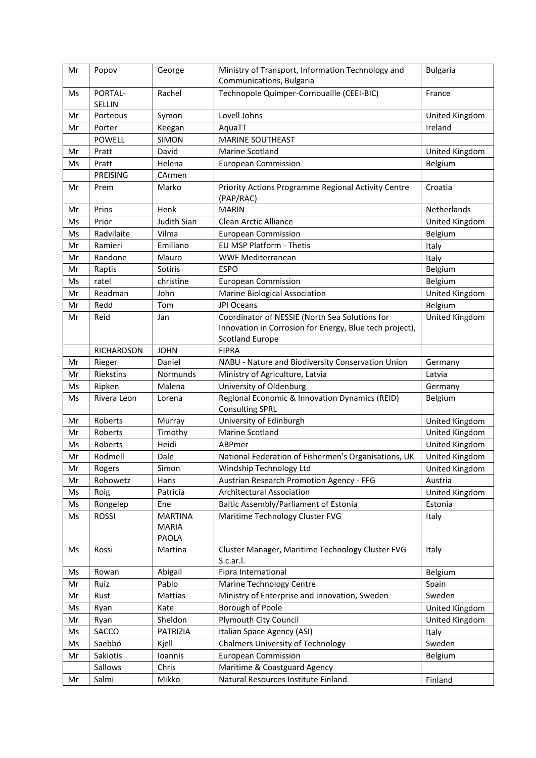| Mr       | Popov             | George                                  | Ministry of Transport, Information Technology and<br>Communications, Bulgaria     | <b>Bulgaria</b> |
|----------|-------------------|-----------------------------------------|-----------------------------------------------------------------------------------|-----------------|
| Ms       | PORTAL-<br>SELLIN | Rachel                                  | Technopole Quimper-Cornouaille (CEEI-BIC)                                         | France          |
| Mr       | Porteous          | Symon                                   | Lovell Johns                                                                      | United Kingdom  |
| Mr       | Porter            | Keegan                                  | AquaTT                                                                            | Ireland         |
|          | <b>POWELL</b>     | <b>SIMON</b>                            | <b>MARINE SOUTHEAST</b>                                                           |                 |
| Mr       | Pratt             | David                                   | <b>Marine Scotland</b>                                                            | United Kingdom  |
| Ms       | Pratt             | Helena                                  | <b>European Commission</b>                                                        | Belgium         |
|          | <b>PREISING</b>   | CArmen                                  |                                                                                   |                 |
| Mr       | Prem              | Marko                                   | Priority Actions Programme Regional Activity Centre<br>(PAP/RAC)                  | Croatia         |
| Mr       | Prins             | Henk                                    | <b>MARIN</b>                                                                      | Netherlands     |
| Ms       | Prior             | Judith Sian                             | Clean Arctic Alliance                                                             | United Kingdom  |
| Ms       | Radvilaite        | Vilma                                   | <b>European Commission</b>                                                        | Belgium         |
| Mr       | Ramieri           | Emiliano                                | EU MSP Platform - Thetis                                                          | Italy           |
| Mr       | Randone           | Mauro                                   | WWF Mediterranean                                                                 | Italy           |
| Mr       | Raptis            | Sotiris                                 | <b>ESPO</b>                                                                       | Belgium         |
| Ms       | ratel             | christine                               | <b>European Commission</b>                                                        | Belgium         |
| Mr       | Readman           | John                                    | Marine Biological Association                                                     | United Kingdom  |
| Mr       | Redd              | Tom                                     | <b>JPI Oceans</b>                                                                 | Belgium         |
| Mr       | Reid              | Jan                                     | Coordinator of NESSIE (North Sea Solutions for                                    | United Kingdom  |
|          |                   |                                         | Innovation in Corrosion for Energy, Blue tech project),<br><b>Scotland Europe</b> |                 |
|          | <b>RICHARDSON</b> | <b>JOHN</b>                             | <b>FIPRA</b>                                                                      |                 |
| Mr       | Rieger            | Daniel                                  | NABU - Nature and Biodiversity Conservation Union                                 | Germany         |
| Mr       | Riekstins         | Normunds                                | Ministry of Agriculture, Latvia                                                   | Latvia          |
| Ms       | Ripken            | Malena                                  | University of Oldenburg                                                           | Germany         |
| Ms       | Rivera Leon       | Lorena                                  | Regional Economic & Innovation Dynamics (REID)<br><b>Consulting SPRL</b>          | Belgium         |
| Mr       | Roberts           | Murray                                  | University of Edinburgh                                                           | United Kingdom  |
| Mr       | Roberts           | Timothy                                 | Marine Scotland                                                                   | United Kingdom  |
| Ms       | Roberts           | Heidi                                   | ABPmer                                                                            | United Kingdom  |
| Mr       | Rodmell           | Dale                                    | National Federation of Fishermen's Organisations, UK                              | United Kingdom  |
| $\sf Mr$ | Rogers            | Simon                                   | Windship Technology Ltd                                                           | United Kingdom  |
| Mr       | Rohowetz          | Hans                                    | Austrian Research Promotion Agency - FFG                                          | Austria         |
| Ms       | Roig              | Patricia                                | <b>Architectural Association</b>                                                  | United Kingdom  |
| Ms       | Rongelep          | Ene                                     | Baltic Assembly/Parliament of Estonia                                             | Estonia         |
| Ms       | <b>ROSSI</b>      | <b>MARTINA</b><br><b>MARIA</b><br>PAOLA | Maritime Technology Cluster FVG                                                   | Italy           |
| Ms       | Rossi             | Martina                                 | Cluster Manager, Maritime Technology Cluster FVG<br>S.c.ar.l.                     | Italy           |
| Ms       | Rowan             | Abigail                                 | Fipra International                                                               | Belgium         |
| Mr       | Ruiz              | Pablo                                   | Marine Technology Centre                                                          | Spain           |
| Mr       | Rust              | Mattias                                 | Ministry of Enterprise and innovation, Sweden                                     | Sweden          |
| Ms       | Ryan              | Kate                                    | Borough of Poole                                                                  | United Kingdom  |
| Mr       | Ryan              | Sheldon                                 | Plymouth City Council                                                             | United Kingdom  |
| Ms       | SACCO             | PATRIZIA                                | Italian Space Agency (ASI)                                                        | Italy           |
| Ms       | Saebbö            | Kjell                                   | <b>Chalmers University of Technology</b>                                          | Sweden          |
| Mr       | Sakiotis          | Ioannis                                 | <b>European Commission</b>                                                        | Belgium         |
|          | Sallows           | Chris                                   | Maritime & Coastguard Agency                                                      |                 |
| Mr       | Salmi             | Mikko                                   | Natural Resources Institute Finland                                               | Finland         |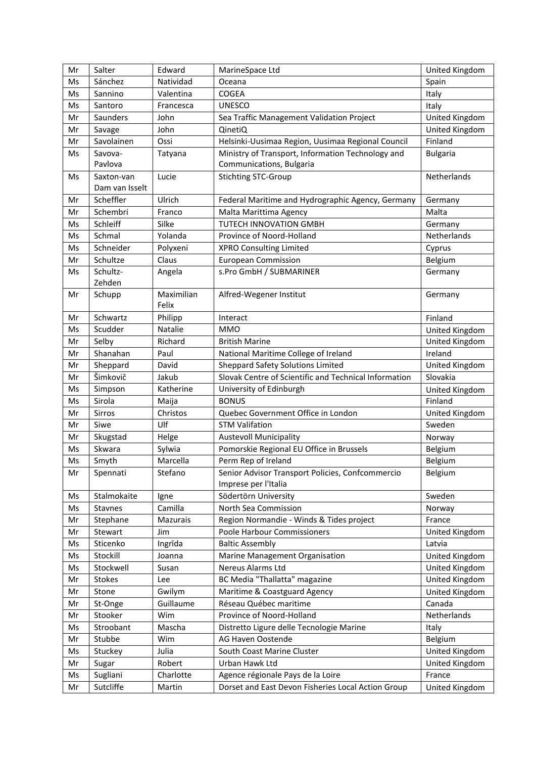| Mr | Salter         | Edward     | MarineSpace Ltd                                       | United Kingdom  |
|----|----------------|------------|-------------------------------------------------------|-----------------|
| Ms | Sánchez        | Natividad  | Oceana                                                | Spain           |
| Ms | Sannino        | Valentina  | COGEA                                                 | Italy           |
| Ms | Santoro        | Francesca  | <b>UNESCO</b>                                         | Italy           |
| Mr | Saunders       | John       | Sea Traffic Management Validation Project             | United Kingdom  |
| Mr | Savage         | John       | QinetiQ                                               | United Kingdom  |
| Mr | Savolainen     | Ossi       | Helsinki-Uusimaa Region, Uusimaa Regional Council     | Finland         |
| Ms | Savova-        | Tatyana    | Ministry of Transport, Information Technology and     | <b>Bulgaria</b> |
|    | Pavlova        |            | Communications, Bulgaria                              |                 |
| Ms | Saxton-van     | Lucie      | <b>Stichting STC-Group</b>                            | Netherlands     |
|    | Dam van Isselt |            |                                                       |                 |
| Mr | Scheffler      | Ulrich     | Federal Maritime and Hydrographic Agency, Germany     | Germany         |
| Mr | Schembri       | Franco     | Malta Marittima Agency                                | Malta           |
| Ms | Schleiff       | Silke      | TUTECH INNOVATION GMBH                                | Germany         |
| Ms | Schmal         | Yolanda    | Province of Noord-Holland                             | Netherlands     |
| Ms | Schneider      | Polyxeni   | <b>XPRO Consulting Limited</b>                        | Cyprus          |
| Mr | Schultze       | Claus      | <b>European Commission</b>                            | Belgium         |
| Ms | Schultz-       | Angela     | s.Pro GmbH / SUBMARINER                               | Germany         |
|    | Zehden         |            |                                                       |                 |
| Mr | Schupp         | Maximilian | Alfred-Wegener Institut                               | Germany         |
|    |                | Felix      |                                                       |                 |
| Mr | Schwartz       | Philipp    | Interact                                              | Finland         |
| Ms | Scudder        | Natalie    | <b>MMO</b>                                            | United Kingdom  |
| Mr | Selby          | Richard    | <b>British Marine</b>                                 | United Kingdom  |
| Mr | Shanahan       | Paul       | National Maritime College of Ireland                  | Ireland         |
| Mr | Sheppard       | David      | <b>Sheppard Safety Solutions Limited</b>              | United Kingdom  |
| Mr | Šimkovič       | Jakub      | Slovak Centre of Scientific and Technical Information | Slovakia        |
| Ms | Simpson        | Katherine  | University of Edinburgh                               | United Kingdom  |
| Ms | Sirola         | Maija      | <b>BONUS</b>                                          | Finland         |
| Mr | Sirros         | Christos   | Quebec Government Office in London                    | United Kingdom  |
| Mr | Siwe           | Ulf        | <b>STM Valifation</b>                                 | Sweden          |
| Mr | Skugstad       | Helge      | <b>Austevoll Municipality</b>                         | Norway          |
| Ms | Skwara         | Sylwia     | Pomorskie Regional EU Office in Brussels              | Belgium         |
| Ms | Smyth          | Marcella   | Perm Rep of Ireland                                   | Belgium         |
| Mr | Spennati       | Stefano    | Senior Advisor Transport Policies, Confcommercio      | Belgium         |
|    |                |            | Imprese per l'Italia                                  |                 |
| Ms | Stalmokaite    | Igne       | Södertörn University                                  | Sweden          |
| Ms | Stavnes        | Camilla    | North Sea Commission                                  | Norway          |
| Mr | Stephane       | Mazurais   | Region Normandie - Winds & Tides project              | France          |
| Mr | Stewart        | Jim        | Poole Harbour Commissioners                           | United Kingdom  |
| Ms | Sticenko       | Ingrīda    | <b>Baltic Assembly</b>                                | Latvia          |
| Ms | Stockill       | Joanna     | Marine Management Organisation                        | United Kingdom  |
| Ms | Stockwell      | Susan      | Nereus Alarms Ltd                                     | United Kingdom  |
| Mr | Stokes         | Lee        | BC Media "Thallatta" magazine                         | United Kingdom  |
| Mr | Stone          | Gwilym     | Maritime & Coastguard Agency                          | United Kingdom  |
| Mr | St-Onge        | Guillaume  | Réseau Québec maritime                                | Canada          |
| Mr | Stooker        | Wim        | Province of Noord-Holland                             | Netherlands     |
| Ms | Stroobant      | Mascha     | Distretto Ligure delle Tecnologie Marine              | Italy           |
| Mr | Stubbe         | Wim        | AG Haven Oostende                                     | Belgium         |
| Ms | Stuckey        | Julia      | South Coast Marine Cluster                            | United Kingdom  |
| Mr | Sugar          | Robert     | Urban Hawk Ltd                                        | United Kingdom  |
| Ms | Sugliani       | Charlotte  | Agence régionale Pays de la Loire                     | France          |
| Mr | Sutcliffe      | Martin     | Dorset and East Devon Fisheries Local Action Group    | United Kingdom  |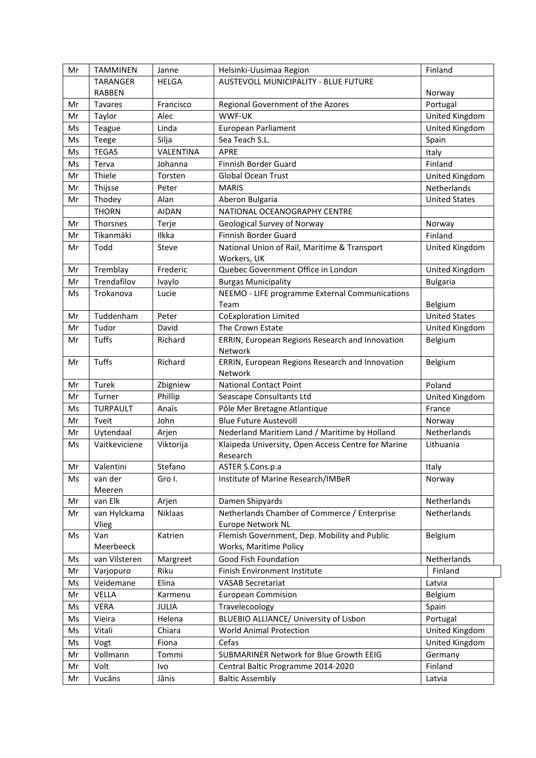| Mr | <b>TAMMINEN</b> | Janne        | Helsinki-Uusimaa Region                            | Finland              |
|----|-----------------|--------------|----------------------------------------------------|----------------------|
|    | <b>TARANGER</b> | <b>HELGA</b> | AUSTEVOLL MUNICIPALITY - BLUE FUTURE               |                      |
|    | <b>RABBEN</b>   |              |                                                    | Norway               |
| Mr | <b>Tavares</b>  | Francisco    | Regional Government of the Azores                  | Portugal             |
| Mr | Taylor          | Alec         | WWF-UK                                             | United Kingdom       |
| Ms | Teague          | Linda        | European Parliament                                | United Kingdom       |
| Ms | Teege           | Silja        | Sea Teach S.L.                                     | Spain                |
| Ms | <b>TEGAS</b>    | VALENTINA    | <b>APRE</b>                                        | Italy                |
| Ms | Terva           | Johanna      | Finnish Border Guard                               | Finland              |
| Mr | Thiele          | Torsten      | <b>Global Ocean Trust</b>                          | United Kingdom       |
| Mr | Thijsse         | Peter        | <b>MARIS</b>                                       | Netherlands          |
| Mr | Thodey          | Alan         | Aberon Bulgaria                                    | <b>United States</b> |
|    | <b>THORN</b>    | <b>AIDAN</b> | NATIONAL OCEANOGRAPHY CENTRE                       |                      |
| Mr | Thorsnes        | Terje        | Geological Survey of Norway                        | Norway               |
| Mr | Tikanmäki       | Ilkka        | Finnish Border Guard                               | Finland              |
| Mr | Todd            | Steve        | National Union of Rail, Maritime & Transport       | United Kingdom       |
|    |                 |              | Workers, UK                                        |                      |
| Mr | Tremblay        | Frederic     | Quebec Government Office in London                 | United Kingdom       |
| Mr | Trendafilov     | Ivaylo       | <b>Burgas Municipality</b>                         | <b>Bulgaria</b>      |
| Ms | Trokanova       | Lucie        | NEEMO - LIFE programme External Communications     |                      |
|    |                 |              | Team                                               | Belgium              |
| Mr | Tuddenham       | Peter        | <b>CoExploration Limited</b>                       | <b>United States</b> |
| Mr | Tudor           | David        | The Crown Estate                                   | United Kingdom       |
| Mr | Tuffs           | Richard      | ERRIN, European Regions Research and Innovation    | Belgium              |
|    |                 |              | Network                                            |                      |
| Mr | <b>Tuffs</b>    | Richard      | ERRIN, European Regions Research and Innovation    | Belgium              |
|    |                 |              | Network                                            |                      |
| Mr | Turek           | Zbigniew     | <b>National Contact Point</b>                      | Poland               |
| Mr | Turner          | Phillip      | Seascape Consultants Ltd                           | United Kingdom       |
| Ms | <b>TURPAULT</b> | Anaïs        | Pôle Mer Bretagne Atlantique                       | France               |
| Mr | Tveit           | John         | <b>Blue Future Austevoll</b>                       | Norway               |
| Mr | Uytendaal       | Arjen        | Nederland Maritiem Land / Maritime by Holland      | Netherlands          |
| Ms | Vaitkeviciene   | Viktorija    | Klaipeda University, Open Access Centre for Marine | Lithuania            |
|    |                 |              | Research                                           |                      |
| Mr | Valentini       | Stefano      | ASTER S.Cons.p.a                                   | Italy                |
| Ms | van der         | Gro I.       | Institute of Marine Research/IMBeR                 | Norway               |
|    | Meeren          |              |                                                    |                      |
| Mr | van Elk         | Arjen        | Damen Shipyards                                    | Netherlands          |
| Mr | van Hylckama    | Niklaas      | Netherlands Chamber of Commerce / Enterprise       | Netherlands          |
|    | Vlieg           |              | Europe Network NL                                  |                      |
| Ms | Van             | Katrien      | Flemish Government, Dep. Mobility and Public       | Belgium              |
|    | Meerbeeck       |              | Works, Maritime Policy                             |                      |
| Ms | van Vilsteren   | Margreet     | Good Fish Foundation                               | Netherlands          |
| Mr | Varjopuro       | Riku         | Finish Environment Institute                       | Finland              |
| Ms | Veidemane       | Elina        | <b>VASAB Secretariat</b>                           | Latvia               |
| Mr | VELLA           | Karmenu      | <b>European Commision</b>                          | Belgium              |
| Ms | <b>VERA</b>     | JULIA        | Travelecoology                                     | Spain                |
| Ms | Vieira          | Helena       | BLUEBIO ALLIANCE/ University of Lisbon             | Portugal             |
| Ms | Vitali          | Chiara       | <b>World Animal Protection</b>                     | United Kingdom       |
| Ms | Vogt            | Fiona        | Cefas                                              | United Kingdom       |
| Mr | Vollmann        | Tommi        | SUBMARINER Network for Blue Growth EEIG            | Germany              |
| Mr | Volt            | Ivo          | Central Baltic Programme 2014-2020                 | Finland              |
| Mr | Vucāns          | Jānis        | <b>Baltic Assembly</b>                             | Latvia               |
|    |                 |              |                                                    |                      |